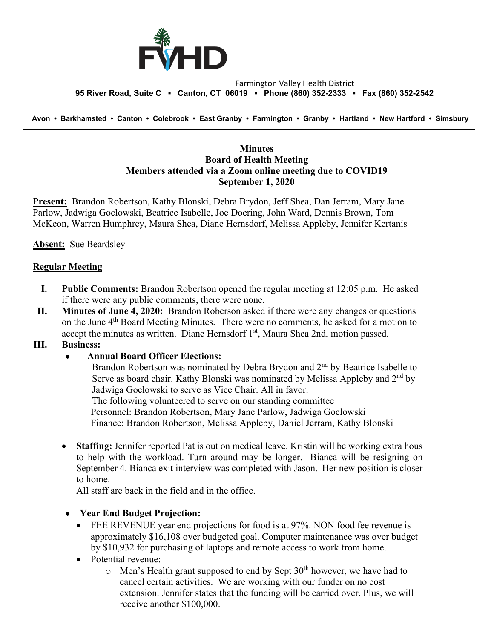

#### Farmington Valley Health District  **95 River Road, Suite C ▪ Canton, CT 06019 ▪ Phone (860) 352-2333 ▪ Fax (860) 352-2542**

 **Avon • Barkhamsted • Canton • Colebrook • East Granby • Farmington • Granby • Hartland • New Hartford • Simsbury**

### **Minutes Board of Health Meeting Members attended via a Zoom online meeting due to COVID19 September 1, 2020**

**Present:** Brandon Robertson, Kathy Blonski, Debra Brydon, Jeff Shea, Dan Jerram, Mary Jane Parlow, Jadwiga Goclowski, Beatrice Isabelle, Joe Doering, John Ward, Dennis Brown, Tom McKeon, Warren Humphrey, Maura Shea, Diane Hernsdorf, Melissa Appleby, Jennifer Kertanis

**Absent:** Sue Beardsley

#### **Regular Meeting**

- **I. Public Comments:** Brandon Robertson opened the regular meeting at 12:05 p.m. He asked if there were any public comments, there were none.
- **II. Minutes of June 4, 2020:** Brandon Roberson asked if there were any changes or questions on the June  $4<sup>th</sup>$  Board Meeting Minutes. There were no comments, he asked for a motion to accept the minutes as written. Diane Hernsdorf 1<sup>st</sup>, Maura Shea 2nd, motion passed.

#### **III. Business:**

#### • **Annual Board Officer Elections:**

Brandon Robertson was nominated by Debra Brydon and 2<sup>nd</sup> by Beatrice Isabelle to Serve as board chair. Kathy Blonski was nominated by Melissa Appleby and 2<sup>nd</sup> by Jadwiga Goclowski to serve as Vice Chair. All in favor.

The following volunteered to serve on our standing committee

Personnel: Brandon Robertson, Mary Jane Parlow, Jadwiga Goclowski

Finance: Brandon Robertson, Melissa Appleby, Daniel Jerram, Kathy Blonski

• **Staffing:** Jennifer reported Pat is out on medical leave. Kristin will be working extra hous to help with the workload. Turn around may be longer. Bianca will be resigning on September 4. Bianca exit interview was completed with Jason. Her new position is closer to home.

All staff are back in the field and in the office.

- **Year End Budget Projection:** 
	- FEE REVENUE year end projections for food is at 97%. NON food fee revenue is approximately \$16,108 over budgeted goal. Computer maintenance was over budget by \$10,932 for purchasing of laptops and remote access to work from home.
	- Potential revenue:
		- $\circ$  Men's Health grant supposed to end by Sept 30<sup>th</sup> however, we have had to cancel certain activities. We are working with our funder on no cost extension. Jennifer states that the funding will be carried over. Plus, we will receive another \$100,000.